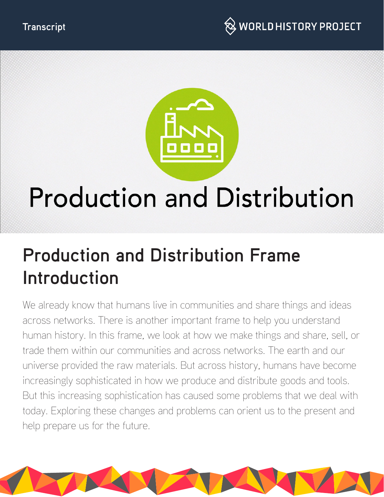



# **Production and Distribution**

## **Production and Distribution Frame Introduction**

We already know that humans live in communities and share things and ideas across networks. There is another important frame to help you understand human history. In this frame, we look at how we make things and share, sell, or trade them within our communities and across networks. The earth and our universe provided the raw materials. But across history, humans have become increasingly sophisticated in how we produce and distribute goods and tools. But this increasing sophistication has caused some problems that we deal with today. Exploring these changes and problems can orient us to the present and help prepare us for the future.

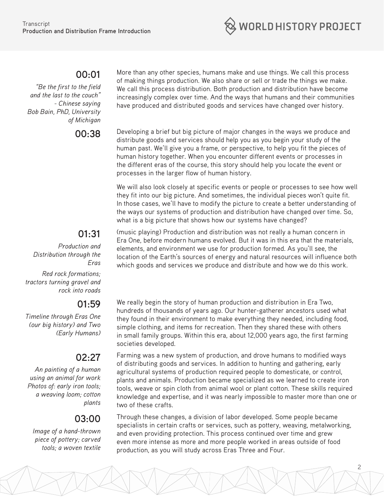

#### **00:01**

*"Be the first to the field and the last to the couch" - Chinese saying Bob Bain, PhD, University of Michigan*

#### More than any other species, humans make and use things. We call this process of making things production. We also share or sell or trade the things we make. We call this process distribution. Both production and distribution have become increasingly complex over time. And the ways that humans and their communities have produced and distributed goods and services have changed over history.

**00:38** Developing a brief but big picture of major changes in the ways we produce and distribute goods and services should help you as you begin your study of the human past. We'll give you a frame, or perspective, to help you fit the pieces of human history together. When you encounter different events or processes in the different eras of the course, this story should help you locate the event or processes in the larger flow of human history.

> We will also look closely at specific events or people or processes to see how well they fit into our big picture. And sometimes, the individual pieces won't quite fit. In those cases, we'll have to modify the picture to create a better understanding of the ways our systems of production and distribution have changed over time. So, what is a big picture that shows how our systems have changed?

### **01:31**

*Production and Distribution through the Eras*

*Red rock formations; tractors turning gravel and rock into roads*

#### **01:59**

*Timeline through Eras One (our big history) and Two (Early Humans)*

#### **02:27**

*An painting of a human using an animal for work Photos of: early iron tools; a weaving loom; cotton plants*

#### **03:00**

*Image of a hand-thrown piece of pottery; carved tools; a woven textile* (music playing) Production and distribution was not really a human concern in Era One, before modern humans evolved. But it was in this era that the materials, elements, and environment we use for production formed. As you'll see, the location of the Earth's sources of energy and natural resources will influence both which goods and services we produce and distribute and how we do this work.

We really begin the story of human production and distribution in Era Two, hundreds of thousands of years ago. Our hunter-gatherer ancestors used what they found in their environment to make everything they needed, including food, simple clothing, and items for recreation. Then they shared these with others in small family groups. Within this era, about 12,000 years ago, the first farming societies developed.

Farming was a new system of production, and drove humans to modified ways of distributing goods and services. In addition to hunting and gathering, early agricultural systems of production required people to domesticate, or control, plants and animals. Production became specialized as we learned to create iron tools, weave or spin cloth from animal wool or plant cotton. These skills required knowledge and expertise, and it was nearly impossible to master more than one or two of these crafts.

Through these changes, a division of labor developed. Some people became specialists in certain crafts or services, such as pottery, weaving, metalworking, and even providing protection. This process continued over time and grew even more intense as more and more people worked in areas outside of food production, as you will study across Eras Three and Four.

2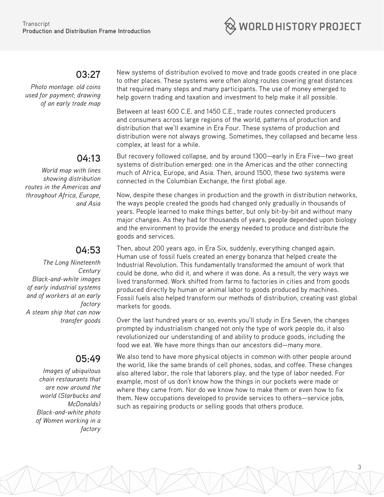

#### **03:27**

*Photo montage: old coins used for payment; drawing of an early trade map* 

#### **04:13**

*World map with lines showing distribution routes in the Americas and throughout Africa, Europe, and Asia*

#### **04:53**

*The Long Nineteenth Century Black-and-white images of early industrial systems and of workers at an early factory A steam ship that can now transfer goods*

#### **05:49**

*Images of ubiquitous chain restaurants that are now around the world (Starbucks and McDonalds) Black-and-white photo of Women working in a factory*  New systems of distribution evolved to move and trade goods created in one place to other places. These systems were often along routes covering great distances that required many steps and many participants. The use of money emerged to help govern trading and taxation and investment to help make it all possible.

Between at least 600 C.E. and 1450 C.E., trade routes connected producers and consumers across large regions of the world, patterns of production and distribution that we'll examine in Era Four. These systems of production and distribution were not always growing. Sometimes, they collapsed and became less complex, at least for a while.

But recovery followed collapse, and by around 1300—early in Era Five—two great systems of distribution emerged: one in the Americas and the other connecting much of Africa, Europe, and Asia. Then, around 1500, these two systems were connected in the Columbian Exchange, the first global age.

Now, despite these changes in production and the growth in distribution networks, the ways people created the goods had changed only gradually in thousands of years. People learned to make things better, but only bit-by-bit and without many major changes. As they had for thousands of years, people depended upon biology and the environment to provide the energy needed to produce and distribute the goods and services.

Then, about 200 years ago, in Era Six, suddenly, everything changed again. Human use of fossil fuels created an energy bonanza that helped create the Industrial Revolution. This fundamentally transformed the amount of work that could be done, who did it, and where it was done. As a result, the very ways we lived transformed. Work shifted from farms to factories in cities and from goods produced directly by human or animal labor to goods produced by machines. Fossil fuels also helped transform our methods of distribution, creating vast global markets for goods.

Over the last hundred years or so, events you'll study in Era Seven, the changes prompted by industrialism changed not only the type of work people do, it also revolutionized our understanding of and ability to produce goods, including the food we eat. We have more things than our ancestors did—many more.

We also tend to have more physical objects in common with other people around the world, like the same brands of cell phones, sodas, and coffee. These changes also altered labor, the role that laborers play, and the type of labor needed. For example, most of us don't know how the things in our pockets were made or where they came from. Nor do we know how to make them or even how to fix them. New occupations developed to provide services to others—service jobs, such as repairing products or selling goods that others produce.

3